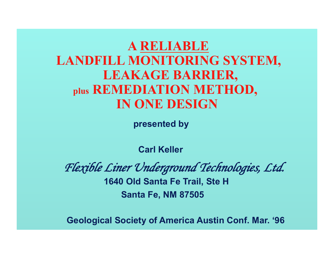# **A RELIABLE LANDFILL MONITORING SYSTEM, LEAKAGE BARRIER, plus REMEDIATION METHOD, IN ONE DESIGN**

 **presented by** 

 **Carl Keller** 

*Flexible Liner Underground Technologies, Ltd.*  **1640 Old Santa Fe Trail, Ste H Santa Fe, NM 87505** 

**Geological Society of America Austin Conf. Mar. '96**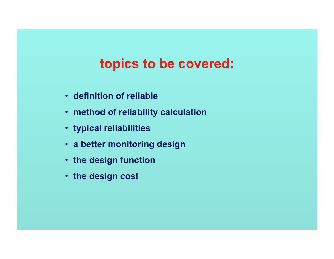# **topics to be covered:**

- **definition of reliable**
- **method of reliability calculation**
- **typical reliabilities**
- **a better monitoring design**
- **the design function**
- **the design cost**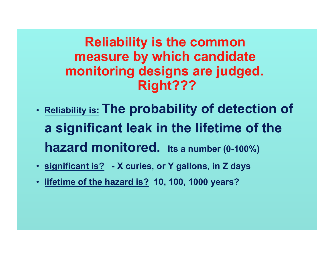**Reliability is the common measure by which candidate monitoring designs are judged. Right???** 

- **Reliability is: The probability of detection of a significant leak in the lifetime of the hazard monitored. Its a number (0-100%)**
- **significant is? X curies, or Y gallons, in Z days**
- **lifetime of the hazard is? 10, 100, 1000 years?**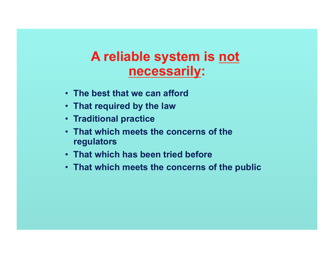### **A reliable system is not necessarily:**

- **The best that we can afford**
- **That required by the law**
- **Traditional practice**
- **That which meets the concerns of the regulators**
- **That which has been tried before**
- **That which meets the concerns of the public**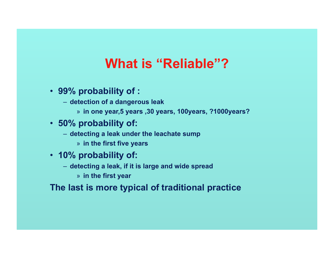# **What is "Reliable"?**

- **99% probability of :** 
	- **detection of a dangerous leak** 
		- » **in one year,5 years ,30 years, 100years, ?1000years?**
- **50% probability of:** 
	- **detecting a leak under the leachate sump** 
		- » **in the first five years**
- **10% probability of:** 
	- **detecting a leak, if it is large and wide spread** 
		- » **in the first year**

**The last is more typical of traditional practice**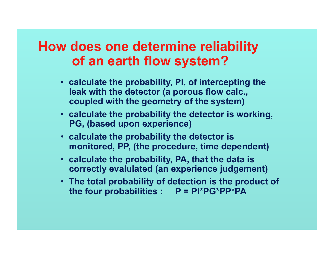#### **How does one determine reliability of an earth flow system?**

- **calculate the probability, PI, of intercepting the leak with the detector (a porous flow calc., coupled with the geometry of the system)**
- **calculate the probability the detector is working, PG, (based upon experience)**
- **calculate the probability the detector is monitored, PP, (the procedure, time dependent)**
- **calculate the probability, PA, that the data is correctly evalulated (an experience judgement)**
- **The total probability of detection is the product of**  the four probabilities : P = PI\*PG\*PP\*PA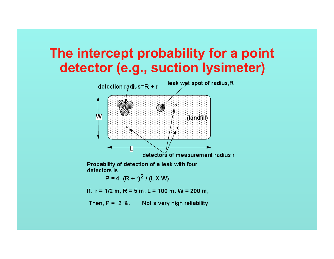# **The intercept probability for a point detector (e.g., suction lysimeter)**



Probability of detection of a leak with four detectors is

 $P = 4 (R + r)^{2} / (L X W)$ 

If,  $r = 1/2$  m,  $R = 5$  m,  $L = 100$  m,  $W = 200$  m,

Then,  $P = 2$  %. Not a very high reliability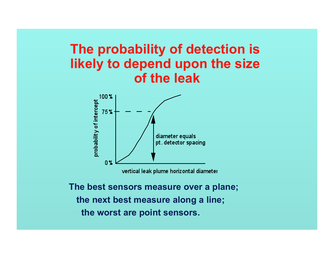#### **The probability of detection is likely to depend upon the size of the leak**



vertical leak plume horizontal diameter

**The best sensors measure over a plane; the next best measure along a line; the worst are point sensors.**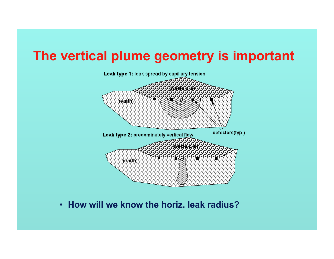### **The vertical plume geometry is important**



• **How will we know the horiz. leak radius?**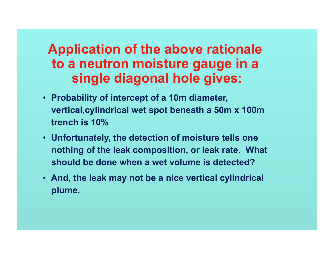# **Application of the above rationale to a neutron moisture gauge in a single diagonal hole gives:**

- **Probability of intercept of a 10m diameter, vertical,cylindrical wet spot beneath a 50m x 100m trench is 10%**
- **Unfortunately, the detection of moisture tells one nothing of the leak composition, or leak rate. What should be done when a wet volume is detected?**
- **And, the leak may not be a nice vertical cylindrical plume.**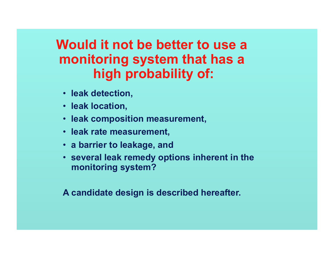# **Would it not be better to use a monitoring system that has a high probability of:**

- **leak detection,**
- **leak location,**
- **leak composition measurement,**
- **leak rate measurement,**
- **a barrier to leakage, and**
- **several leak remedy options inherent in the monitoring system?**

**A candidate design is described hereafter.**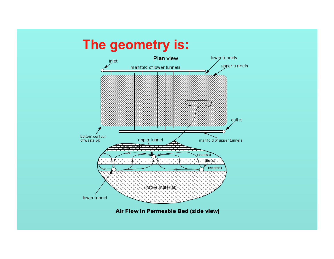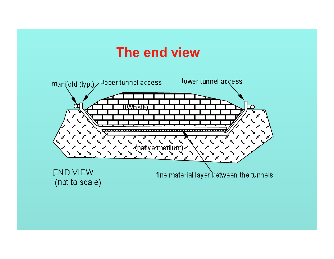### **The end view**

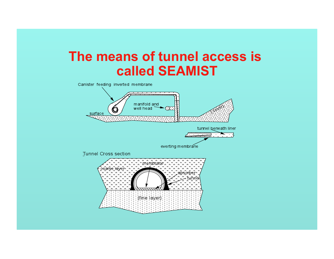# **The means of tunnel access is called SEAMIST**

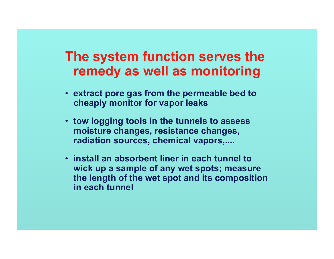#### **The system function serves the remedy as well as monitoring**

- **extract pore gas from the permeable bed to cheaply monitor for vapor leaks**
- **tow logging tools in the tunnels to assess moisture changes, resistance changes, radiation sources, chemical vapors,....**
- **install an absorbent liner in each tunnel to wick up a sample of any wet spots; measure the length of the wet spot and its composition in each tunnel**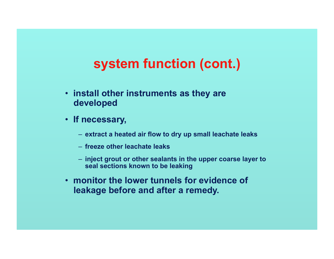# **system function (cont.)**

- **install other instruments as they are developed**
- **If necessary,** 
	- **extract a heated air flow to dry up small leachate leaks**
	- **freeze other leachate leaks**
	- **inject grout or other sealants in the upper coarse layer to seal sections known to be leaking**
- **monitor the lower tunnels for evidence of leakage before and after a remedy.**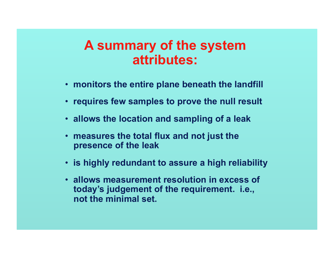#### **A summary of the system attributes:**

- **monitors the entire plane beneath the landfill**
- **requires few samples to prove the null result**
- **allows the location and sampling of a leak**
- **measures the total flux and not just the presence of the leak**
- **is highly redundant to assure a high reliability**
- **allows measurement resolution in excess of today's judgement of the requirement. i.e., not the minimal set.**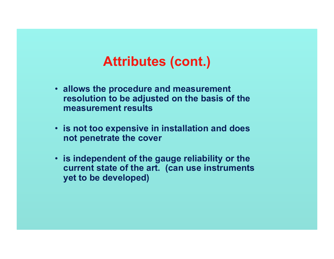# **Attributes (cont.)**

- **allows the procedure and measurement resolution to be adjusted on the basis of the measurement results**
- **is not too expensive in installation and does not penetrate the cover**
- **is independent of the gauge reliability or the current state of the art. (can use instruments yet to be developed)**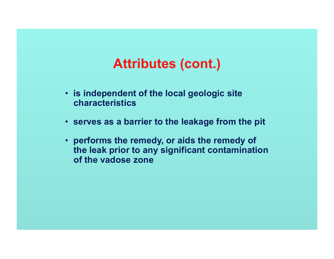# **Attributes (cont.)**

- **is independent of the local geologic site characteristics**
- **serves as a barrier to the leakage from the pit**
- **performs the remedy, or aids the remedy of the leak prior to any significant contamination of the vadose zone**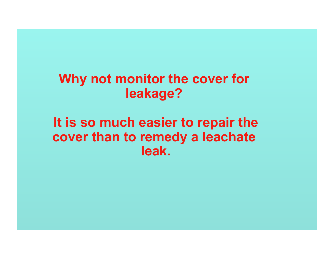# **Why not monitor the cover for leakage?**

### **It is so much easier to repair the cover than to remedy a leachate leak.**